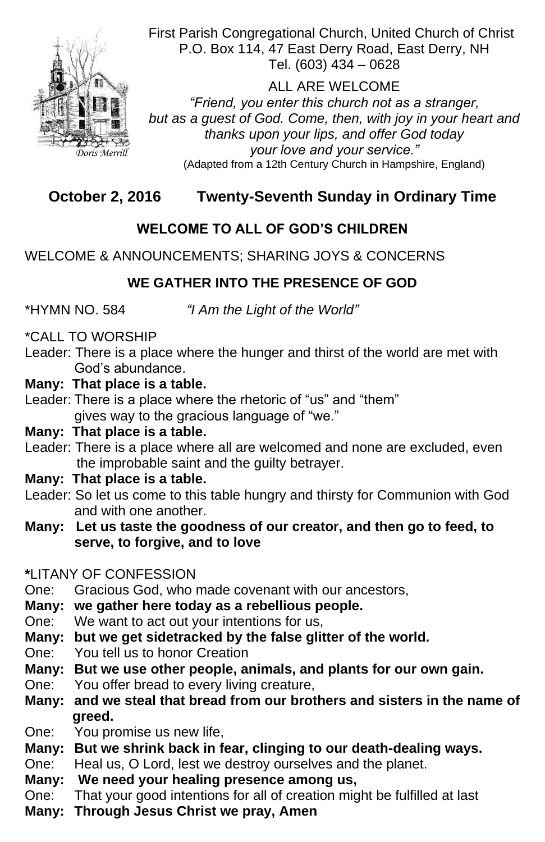First Parish Congregational Church, United Church of Christ P.O. Box 114, 47 East Derry Road, East Derry, NH Tel. (603) 434 – 0628

ALL ARE WELCOME *"Friend, you enter this church not as a stranger, but as a guest of God. Come, then, with joy in your heart and thanks upon your lips, and offer God today your love and your service."* (Adapted from a 12th Century Church in Hampshire, England)

# **October 2, 2016 Twenty-Seventh Sunday in Ordinary Time**

## **WELCOME TO ALL OF GOD'S CHILDREN**

WELCOME & ANNOUNCEMENTS; SHARING JOYS & CONCERNS

## **WE GATHER INTO THE PRESENCE OF GOD**

\*HYMN NO. 584 *"I Am the Light of the World"*

\*CALL TO WORSHIP

Leader: There is a place where the hunger and thirst of the world are met with God's abundance.

#### **Many: That place is a table.**

Leader: There is a place where the rhetoric of "us" and "them" gives way to the gracious language of "we."

#### **Many: That place is a table.**

- Leader: There is a place where all are welcomed and none are excluded, even the improbable saint and the guilty betrayer.
- **Many: That place is a table.**
- Leader: So let us come to this table hungry and thirsty for Communion with God and with one another.
- **Many: Let us taste the goodness of our creator, and then go to feed, to serve, to forgive, and to love**

#### **\***LITANY OF CONFESSION

One: Gracious God, who made covenant with our ancestors,

#### **Many: we gather here today as a rebellious people.**

One: We want to act out your intentions for us, **Many: but we get sidetracked by the false glitter of the world.** One: You tell us to honor Creation **Many: But we use other people, animals, and plants for our own gain.** One: You offer bread to every living creature, **Many: and we steal that bread from our brothers and sisters in the name of greed.** One: You promise us new life, **Many: But we shrink back in fear, clinging to our death-dealing ways.** One: Heal us, O Lord, lest we destroy ourselves and the planet. **Many: We need your healing presence among us,** One: That your good intentions for all of creation might be fulfilled at last **Many: Through Jesus Christ we pray, Amen**



*Doris Merrill*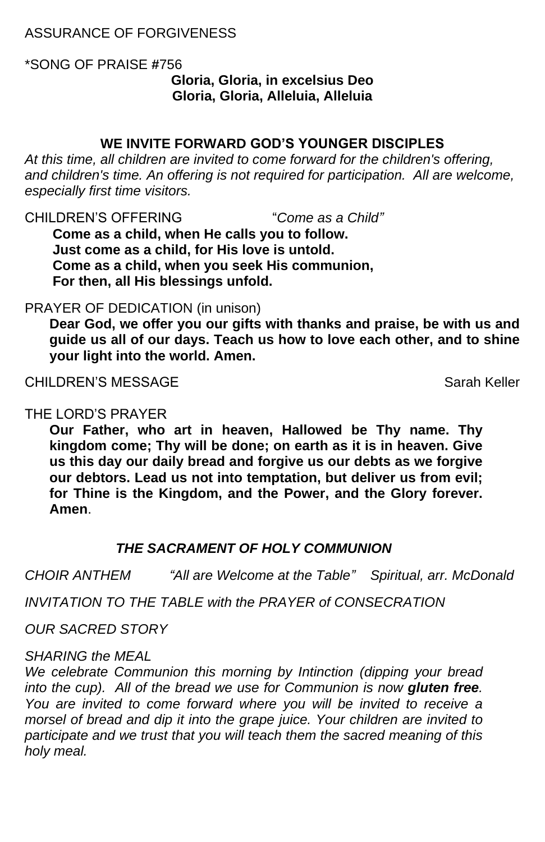## ASSURANCE OF FORGIVENESS

\*SONG OF PRAISE **#**756 **Gloria, Gloria, in excelsius Deo Gloria, Gloria, Alleluia, Alleluia**

#### **WE INVITE FORWARD GOD'S YOUNGER DISCIPLES**

*At this time, all children are invited to come forward for the children's offering,*  and children's time. An offering is not required for participation. All are welcome, *especially first time visitors.*

CHILDREN'S OFFERING "*Come as a Child"* **Come as a child, when He calls you to follow. Just come as a child, for His love is untold. Come as a child, when you seek His communion, For then, all His blessings unfold.**

#### PRAYER OF DEDICATION (in unison)

**Dear God, we offer you our gifts with thanks and praise, be with us and guide us all of our days. Teach us how to love each other, and to shine your light into the world. Amen.**

CHILDREN'S MESSAGE Sarah Keller

## THE LORD'S PRAYER

**Our Father, who art in heaven, Hallowed be Thy name. Thy kingdom come; Thy will be done; on earth as it is in heaven. Give us this day our daily bread and forgive us our debts as we forgive our debtors. Lead us not into temptation, but deliver us from evil; for Thine is the Kingdom, and the Power, and the Glory forever. Amen**.

## *THE SACRAMENT OF HOLY COMMUNION*

*CHOIR ANTHEM "All are Welcome at the Table" Spiritual, arr. McDonald*

*INVITATION TO THE TABLE with the PRAYER of CONSECRATION*

#### *OUR SACRED STORY*

#### *SHARING the MEAL*

*We celebrate Communion this morning by Intinction (dipping your bread into the cup). All of the bread we use for Communion is now gluten free.*  You are invited to come forward where you will be invited to receive a *morsel of bread and dip it into the grape juice. Your children are invited to participate and we trust that you will teach them the sacred meaning of this holy meal.*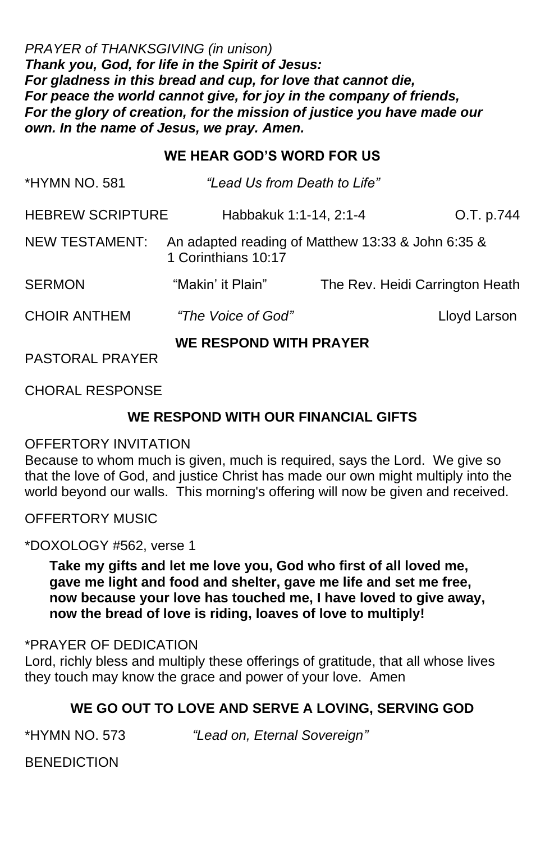*PRAYER of THANKSGIVING (in unison) Thank you, God, for life in the Spirit of Jesus: For gladness in this bread and cup, for love that cannot die, For peace the world cannot give, for joy in the company of friends, For the glory of creation, for the mission of justice you have made our own. In the name of Jesus, we pray. Amen.*

## **WE HEAR GOD'S WORD FOR US**

| <b>*HYMN NO. 581</b>    | "Lead Us from Death to Life"                                             |                                 |              |
|-------------------------|--------------------------------------------------------------------------|---------------------------------|--------------|
| <b>HEBREW SCRIPTURE</b> | Habbakuk 1:1-14, 2:1-4                                                   |                                 | O.T. p.744   |
| <b>NEW TESTAMENT:</b>   | An adapted reading of Matthew 13:33 & John 6:35 &<br>1 Corinthians 10:17 |                                 |              |
| <b>SERMON</b>           | "Makin' it Plain"                                                        | The Rev. Heidi Carrington Heath |              |
| <b>CHOIR ANTHEM</b>     | "The Voice of God"                                                       |                                 | Lloyd Larson |
| <b>PASTORAL PRAYER</b>  | <b>WE RESPOND WITH PRAYER</b>                                            |                                 |              |

CHORAL RESPONSE

## **WE RESPOND WITH OUR FINANCIAL GIFTS**

## OFFERTORY INVITATION

Because to whom much is given, much is required, says the Lord. We give so that the love of God, and justice Christ has made our own might multiply into the world beyond our walls. This morning's offering will now be given and received.

## OFFERTORY MUSIC

## \*DOXOLOGY #562, verse 1

**Take my gifts and let me love you, God who first of all loved me, gave me light and food and shelter, gave me life and set me free, now because your love has touched me, I have loved to give away, now the bread of love is riding, loaves of love to multiply!**

#### \*PRAYER OF DEDICATION Lord, richly bless and multiply these offerings of gratitude, that all whose lives they touch may know the grace and power of your love. Amen

#### **WE GO OUT TO LOVE AND SERVE A LOVING, SERVING GOD**

\*HYMN NO. 573 *"Lead on, Eternal Sovereign"*

**BENEDICTION**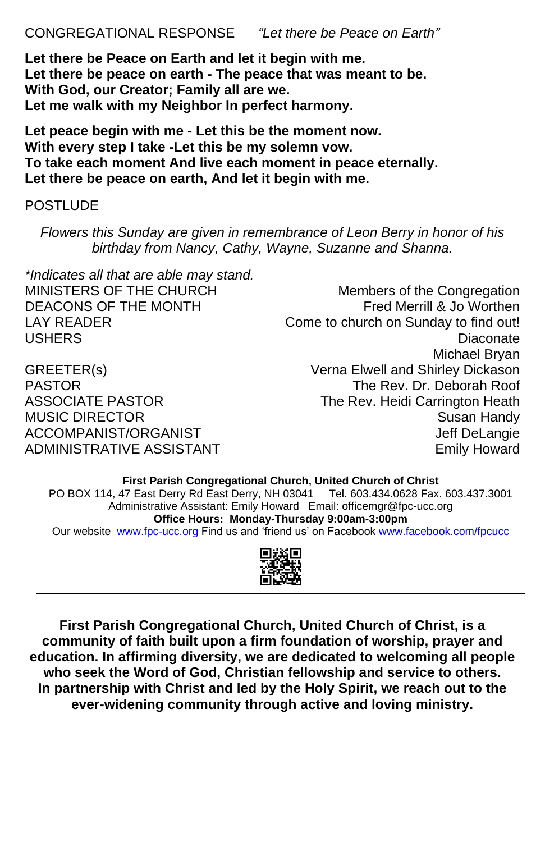## CONGREGATIONAL RESPONSE *"Let there be Peace on Earth"*

**Let there be Peace on Earth and let it begin with me. Let there be peace on earth - The peace that was meant to be. With God, our Creator; Family all are we. Let me walk with my Neighbor In perfect harmony.**

*\*Indicates all that are able may stand.* MINISTERS OF THE CHURCH Members of the Congregation DEACONS OF THE MONTH Fred Merrill & Jo Worthen LAY READER Come to church on Sunday to find out!

USHERS Diaconate Michael Bryan GREETER(s) Verna Elwell and Shirley Dickason PASTOR The Rev. Dr. Deborah Roof ASSOCIATE PASTOR The Rev. Heidi Carrington Heath MUSIC DIRECTOR Susan Handy ACCOMPANIST/ORGANIST ACCOMPANIST/ORGANIST ADMINISTRATIVE ASSISTANT **EXAMPLE 19 ADMINISTRATIVE ASSISTANT** 

**Let peace begin with me - Let this be the moment now. With every step I take -Let this be my solemn vow. To take each moment And live each moment in peace eternally. Let there be peace on earth, And let it begin with me.**

## POSTLUDE

*Flowers this Sunday are given in remembrance of Leon Berry in honor of his birthday from Nancy, Cathy, Wayne, Suzanne and Shanna.*

**First Parish Congregational Church, United Church of Christ** PO BOX 114, 47 East Derry Rd East Derry, NH 03041 Tel. 603.434.0628 Fax. 603.437.3001 Administrative Assistant: Emily Howard Email: officemgr@fpc-ucc.org **Office Hours: Monday-Thursday 9:00am-3:00pm** Our website [www.fpc-ucc.org](http://www.fpc-ucc.org/) Find us and 'friend us' on Facebook [www.facebook.com/fpcucc](http://www.facebook.com/fpcucc)



**First Parish Congregational Church, United Church of Christ, is a community of faith built upon a firm foundation of worship, prayer and education. In affirming diversity, we are dedicated to welcoming all people who seek the Word of God, Christian fellowship and service to others. In partnership with Christ and led by the Holy Spirit, we reach out to the ever-widening community through active and loving ministry.**